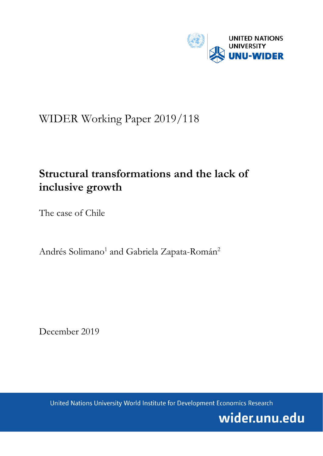

# WIDER Working Paper 2019/118

# **Structural transformations and the lack of inclusive growth**

The case of Chile

Andrés Solimano<sup>1</sup> and Gabriela Zapata-Román<sup>2</sup>

December 2019

United Nations University World Institute for Development Economics Research

wider.unu.edu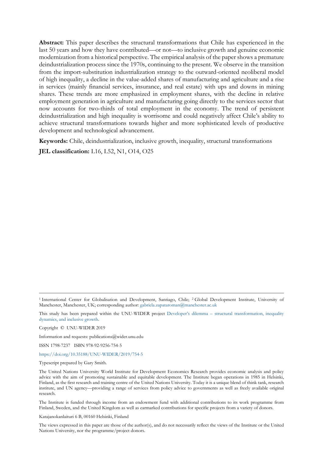**Abstract:** This paper describes the structural transformations that Chile has experienced in the last 50 years and how they have contributed—or not—to inclusive growth and genuine economic modernization from a historical perspective. The empirical analysis of the paper shows a premature deindustrialization process since the 1970s, continuing to the present. We observe in the transition from the import-substitution industrialization strategy to the outward-oriented neoliberal model of high inequality, a decline in the value-added shares of manufacturing and agriculture and a rise in services (mainly financial services, insurance, and real estate) with ups and downs in mining shares. These trends are more emphasized in employment shares, with the decline in relative employment generation in agriculture and manufacturing going directly to the services sector that now accounts for two-thirds of total employment in the economy. The trend of persistent deindustrialization and high inequality is worrisome and could negatively affect Chile's ability to achieve structural transformations towards higher and more sophisticated levels of productive development and technological advancement.

**Keywords:** Chile, deindustrialization, inclusive growth, inequality, structural transformations

**JEL classification:** L16, L52, N1, O14, O25

Copyright © UNU-WIDER 2019

Information and requests: publications@wider.unu.edu

ISSN 1798-7237 ISBN 978-92-9256-754-5

<https://doi.org/10.35188/UNU-WIDER/2019/754-5>

Typescript prepared by Gary Smith.

The Institute is funded through income from an endowment fund with additional contributions to its work programme from Finland, Sweden, and the United Kingdom as well as earmarked contributions for specific projects from a variety of donors.

Katajanokanlaituri 6 B, 00160 Helsinki, Finland

The views expressed in this paper are those of the author(s), and do not necessarily reflect the views of the Institute or the United Nations University, nor the programme/project donors.

<sup>1</sup> International Center for Globalisation and Development, Santiago, Chile; 2 Global Development Institute, University of Manchester, Manchester, UK; corresponding author: gabriela.zapataroman@manchester.ac.uk

This study has been prepared within the UNU-WIDER project Developer's dilemma – [structural transformation, inequality](https://www.wider.unu.edu/node/237411)  [dynamics, and inclusive growth.](https://www.wider.unu.edu/node/237411)

The United Nations University World Institute for Development Economics Research provides economic analysis and policy advice with the aim of promoting sustainable and equitable development. The Institute began operations in 1985 in Helsinki, Finland, as the first research and training centre of the United Nations University. Today it is a unique blend of think tank, research institute, and UN agency—providing a range of services from policy advice to governments as well as freely available original research.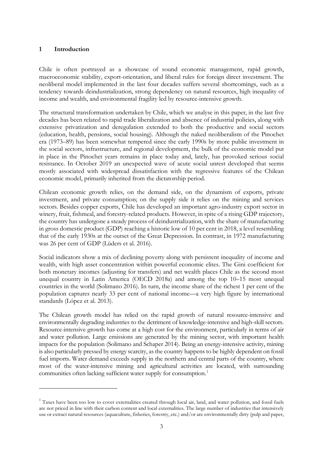#### **1 Introduction**

Chile is often portrayed as a showcase of sound economic management, rapid growth, macroeconomic stability, export-orientation, and liberal rules for foreign direct investment. The neoliberal model implemented in the last four decades suffers several shortcomings, such as a tendency towards deindustrialization, strong dependency on natural resources, high inequality of income and wealth, and environmental fragility led by resource-intensive growth.

The structural transformation undertaken by Chile, which we analyse in this paper, in the last five decades has been related to rapid trade liberalization and absence of industrial policies, along with extensive privatization and deregulation extended to both the productive and social sectors (education, health, pensions, social housing). Although the naked neoliberalism of the Pinochet era (1973–89) has been somewhat tempered since the early 1990s by more public investment in the social sectors, infrastructure, and regional development, the bulk of the economic model put in place in the Pinochet years remains in place today and, lately, has provoked serious social resistance. In October 2019 an unexpected wave of acute social unrest developed that seems mostly associated with widespread dissatisfaction with the regressive features of the Chilean economic model, primarily inherited from the dictatorship period.

Chilean economic growth relies, on the demand side, on the dynamism of exports, private investment, and private consumption; on the supply side it relies on the mining and services sectors. Besides copper exports, Chile has developed an important agro-industry export sector in winery, fruit, fishmeal, and forestry-related products. However, in spite of a rising GDP trajectory, the country has undergone a steady process of deindustrialization, with the share of manufacturing in gross domestic product (GDP) reaching a historic low of 10 per cent in 2018, a level resembling that of the early 1930s at the outset of the Great Depression. In contrast, in 1972 manufacturing was 26 per cent of GDP (Lüders et al. 2016).

Social indicators show a mix of declining poverty along with persistent inequality of income and wealth, with high asset concentration within powerful economic elites. The Gini coefficient for both monetary incomes (adjusting for transfers) and net wealth places Chile as the second most unequal country in Latin America (OECD 2018a) and among the top 10–15 most unequal countries in the world (Solimano 2016). In turn, the income share of the richest 1 per cent of the population captures nearly 33 per cent of national income—a very high figure by international standards (López et al. 2013).

The Chilean growth model has relied on the rapid growth of natural resource-intensive and environmentally degrading industries to the detriment of knowledge-intensive and high-skill sectors. Resource-intensive growth has come at a high cost for the environment, particularly in terms of air and water pollution. Large emissions are generated by the mining sector, with important health impacts for the population (Solimano and Schaper 2014). Being an energy-intensive activity, mining is also particularly pressed by energy scarcity, as the country happens to be highly dependent on fossil fuel imports. Water demand exceeds supply in the northern and central parts of the country, where most of the water-intensive mining and agricultural activities are located, with surrounding communities often lacking sufficient water supply for consumption.<sup>[1](#page-2-0)</sup>

<span id="page-2-0"></span> $<sup>1</sup>$  Taxes have been too low to cover externalities created through local air, land, and water pollution, and fossil fuels</sup> are not priced in line with their carbon content and local externalities. The large number of industries that intensively use or extract natural resources (aquaculture, fisheries, forestry, etc.) and/or are environmentally dirty (pulp and paper,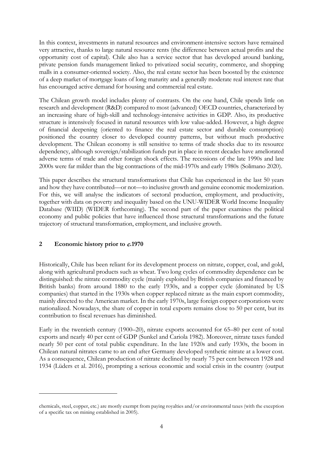In this context, investments in natural resources and environment-intensive sectors have remained very attractive, thanks to large natural resource rents (the difference between actual profits and the opportunity cost of capital). Chile also has a service sector that has developed around banking, private pension funds management linked to privatized social security, commerce, and shopping malls in a consumer-oriented society. Also, the real estate sector has been boosted by the existence of a deep market of mortgage loans of long maturity and a generally moderate real interest rate that has encouraged active demand for housing and commercial real estate.

The Chilean growth model includes plenty of contrasts. On the one hand, Chile spends little on research and development (R&D) compared to most (advanced) OECD countries, characterized by an increasing share of high-skill and technology-intensive activities in GDP. Also, its productive structure is intensively focused in natural resources with low value-added. However, a high degree of financial deepening (oriented to finance the real estate sector and durable consumption) positioned the country closer to developed country patterns, but without much productive development. The Chilean economy is still sensitive to terms of trade shocks due to its resource dependency, although sovereign/stabilization funds put in place in recent decades have ameliorated adverse terms of trade and other foreign shock effects. The recessions of the late 1990s and late 2000s were far milder than the big contractions of the mid-1970s and early 1980s (Solimano 2020).

This paper describes the structural transformations that Chile has experienced in the last 50 years and how they have contributed—or not—to inclusive growth and genuine economic modernization. For this, we will analyse the indicators of sectoral production, employment, and productivity, together with data on poverty and inequality based on the UNU-WIDER World Income Inequality Database (WIID) (WIDER forthcoming). The second part of the paper examines the political economy and public policies that have influenced those structural transformations and the future trajectory of structural transformation, employment, and inclusive growth.

### **2 Economic history prior to** c**.1970**

Historically, Chile has been reliant for its development process on nitrate, copper, coal, and gold, along with agricultural products such as wheat. Two long cycles of commodity dependence can be distinguished: the nitrate commodity cycle (mainly exploited by British companies and financed by British banks) from around 1880 to the early 1930s, and a copper cycle (dominated by US companies) that started in the 1930s when copper replaced nitrate as the main export commodity, mainly directed to the American market. In the early 1970s, large foreign copper corporations were nationalized. Nowadays, the share of copper in total exports remains close to 50 per cent, but its contribution to fiscal revenues has diminished.

Early in the twentieth century (1900–20), nitrate exports accounted for 65–80 per cent of total exports and nearly 40 per cent of GDP (Sunkel and Cariola 1982). Moreover, nitrate taxes funded nearly 50 per cent of total public expenditure. In the late 1920s and early 1930s, the boom in Chilean natural nitrates came to an end after Germany developed synthetic nitrate at a lower cost. As a consequence, Chilean production of nitrate declined by nearly 75 per cent between 1928 and 1934 (Lüders et al. 2016), prompting a serious economic and social crisis in the country (output

chemicals, steel, copper, etc.) are mostly exempt from paying royalties and/or environmental taxes (with the exception of a specific tax on mining established in 2005).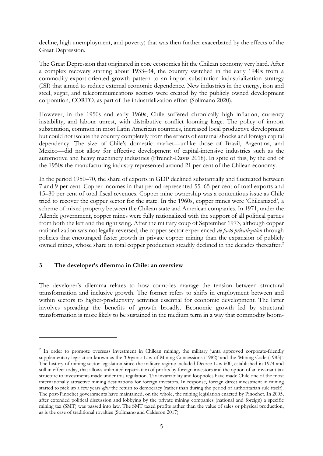decline, high unemployment, and poverty) that was then further exacerbated by the effects of the Great Depression.

The Great Depression that originated in core economies hit the Chilean economy very hard. After a complex recovery starting about 1933–34, the country switched in the early 1940s from a commodity-export-oriented growth pattern to an import-substitution industrialization strategy (ISI) that aimed to reduce external economic dependence. New industries in the energy, iron and steel, sugar, and telecommunications sectors were created by the publicly owned development corporation, CORFO, as part of the industrialization effort (Solimano 2020).

However, in the 1950s and early 1960s, Chile suffered chronically high inflation, currency instability, and labour unrest, with distributive conflict looming large. The policy of import substitution, common in most Latin American countries, increased local productive development but could not isolate the country completely from the effects of external shocks and foreign capital dependency. The size of Chile's domestic market—unlike those of Brazil, Argentina, and Mexico—did not allow for effective development of capital-intensive industries such as the automotive and heavy machinery industries (Ffrench-Davis 2018). In spite of this, by the end of the 1950s the manufacturing industry represented around 21 per cent of the Chilean economy.

In the period 1950–70, the share of exports in GDP declined substantially and fluctuated between 7 and 9 per cent. Copper incomes in that period represented 55–65 per cent of total exports and 15–30 per cent of total fiscal revenues. Copper mine ownership was a contentious issue as Chile tried to recover the copper sector for the state. In the 1960s, copper mines were 'Chileanized', a scheme of mixed property between the Chilean state and American companies. In 1971, under the Allende government, copper mines were fully nationalized with the support of all political parties from both the left and the right wing. After the military coup of September 1973, although copper nationalization was not legally reversed, the copper sector experienced *de facto privatization* through policies that encouraged faster growth in private copper mining than the expansion of publicly owned mines, whose share in total copper production steadily declined in the decades thereafter.<sup>[2](#page-4-0)</sup>

#### **3 The developer's dilemma in Chile: an overview**

The developer's dilemma relates to how countries manage the tension between structural transformation and inclusive growth. The former refers to shifts in employment between and within sectors to higher-productivity activities essential for economic development. The latter involves spreading the benefits of growth broadly. Economic growth led by structural transformation is more likely to be sustained in the medium term in a way that commodity boom-

<span id="page-4-0"></span><sup>&</sup>lt;sup>2</sup> In order to promote overseas investment in Chilean mining, the military junta approved corporate-friendly supplementary legislation known as the 'Organic Law of Mining Concessions (1982)' and the 'Mining Code (1983)'. The history of mining sector legislation since the military regime included Decree Law 600, established in 1974 and still in effect today, that allows unlimited repatriation of profits by foreign investors and the option of an invariant tax structure to investments made under this regulation. Tax invariability and loopholes have made Chile one of the most internationally attractive mining destinations for foreign investors. In response, foreign direct investment in mining started to pick up a few years *after* the return to democracy (rather than during the period of authoritarian rule itself). The post-Pinochet governments have maintained, on the whole, the mining legislation enacted by Pinochet. In 2005, after extended political discussion and lobbying by the private mining companies (national and foreign) a specific mining tax (SMT) was passed into law. The SMT taxed profits rather than the value of sales or physical production, as is the case of traditional royalties (Solimano and Calderon 2017).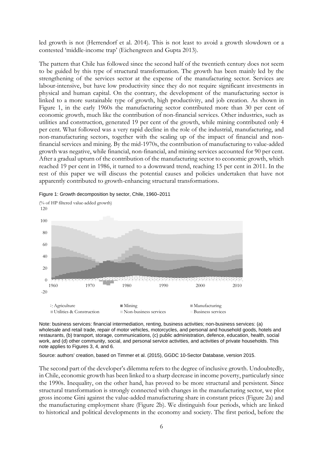led growth is not (Herrendorf et al. 2014). This is not least to avoid a growth slowdown or a contested 'middle-income trap' (Eichengreen and Gupta 2013).

The pattern that Chile has followed since the second half of the twentieth century does not seem to be guided by this type of structural transformation. The growth has been mainly led by the strengthening of the services sector at the expense of the manufacturing sector. Services are labour-intensive, but have low productivity since they do not require significant investments in physical and human capital. On the contrary, the development of the manufacturing sector is linked to a more sustainable type of growth, high productivity, and job creation. As shown in Figure 1, in the early 1960s the manufacturing sector contributed more than 30 per cent of economic growth, much like the contribution of non-financial services. Other industries, such as utilities and construction, generated 19 per cent of the growth, while mining contributed only 4 per cent. What followed was a very rapid decline in the role of the industrial, manufacturing, and non-manufacturing sectors, together with the scaling up of the impact of financial and nonfinancial services and mining. By the mid-1970s, the contribution of manufacturing to value-added growth was negative, while financial, non-financial, and mining services accounted for 90 per cent. After a gradual upturn of the contribution of the manufacturing sector to economic growth, which reached 19 per cent in 1986, it turned to a downward trend, reaching 15 per cent in 2011. In the rest of this paper we will discuss the potential causes and policies undertaken that have not apparently contributed to growth-enhancing structural transformations.



Figure 1: Growth decomposition by sector, Chile, 1960–2011

Note: business services: financial intermediation, renting, business activities; non-business services: (a) wholesale and retail trade, repair of motor vehicles, motorcycles, and personal and household goods, hotels and restaurants, (b) transport, storage, communications, (c) public administration, defence, education, health, social work, and (d) other community, social, and personal service activities, and activities of private households. This note applies to Figures 3, 4, and 6.

Source: authors' creation, based on Timmer et al. (2015), GGDC 10-Sector Database, version 2015.

The second part of the developer's dilemma refers to the degree of inclusive growth. Undoubtedly, in Chile, economic growth has been linked to a sharp decrease in income poverty, particularly since the 1990s. Inequality, on the other hand, has proved to be more structural and persistent. Since structural transformation is strongly connected with changes in the manufacturing sector, we plot gross income Gini against the value-added manufacturing share in constant prices (Figure 2a) and the manufacturing employment share (Figure 2b). We distinguish four periods, which are linked to historical and political developments in the economy and society. The first period, before the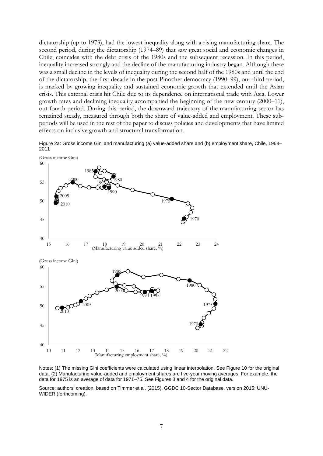dictatorship (up to 1973), had the lowest inequality along with a rising manufacturing share. The second period, during the dictatorship (1974–89) that saw great social and economic changes in Chile, coincides with the debt crisis of the 1980s and the subsequent recession. In this period, inequality increased strongly and the decline of the manufacturing industry began. Although there was a small decline in the levels of inequality during the second half of the 1980s and until the end of the dictatorship, the first decade in the post-Pinochet democracy (1990–99), our third period, is marked by growing inequality and sustained economic growth that extended until the Asian crisis. This external crisis hit Chile due to its dependence on international trade with Asia. Lower growth rates and declining inequality accompanied the beginning of the new century (2000–11), out fourth period. During this period, the downward trajectory of the manufacturing sector has remained steady, measured through both the share of value-added and employment. These subperiods will be used in the rest of the paper to discuss policies and developments that have limited effects on inclusive growth and structural transformation.

Figure 2a: Gross income Gini and manufacturing (a) value-added share and (b) employment share, Chile, 1968– 2011



Notes: (1) The missing Gini coefficients were calculated using linear interpolation. See Figure 10 for the original data. (2) Manufacturing value-added and employment shares are five-year moving averages. For example, the data for 1975 is an average of data for 1971–75. See Figures 3 and 4 for the original data.

Source: authors' creation, based on Timmer et al. (2015), GGDC 10-Sector Database, version 2015; UNU-WIDER (forthcoming).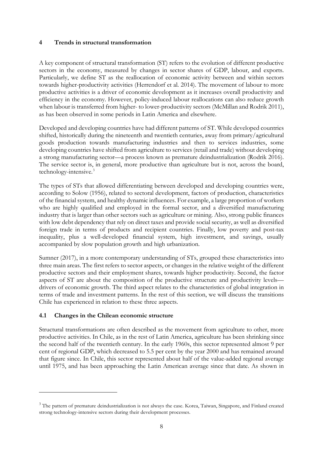#### **4 Trends in structural transformation**

A key component of structural transformation (ST) refers to the evolution of different productive sectors in the economy, measured by changes in sector shares of GDP, labour, and exports. Particularly, we define ST as the reallocation of economic activity between and within sectors towards higher-productivity activities (Herrendorf et al. 2014). The movement of labour to more productive activities is a driver of economic development as it increases overall productivity and efficiency in the economy. However, policy-induced labour reallocations can also reduce growth when labour is transferred from higher- to lower-productivity sectors (McMillan and Rodrik 2011), as has been observed in some periods in Latin America and elsewhere.

Developed and developing countries have had different patterns of ST. While developed countries shifted, historically during the nineteenth and twentieth centuries, away from primary/agricultural goods production towards manufacturing industries and then to services industries, some developing countries have shifted from agriculture to services (retail and trade) without developing a strong manufacturing sector—a process known as premature deindustrialization (Rodrik 2016). The service sector is, in general, more productive than agriculture but is not, across the board, technology-intensive.[3](#page-7-0)

The types of STs that allowed differentiating between developed and developing countries were, according to Solow (1956), related to sectoral development, factors of production, characteristics of the financial system, and healthy dynamic influences. For example, a large proportion of workers who are highly qualified and employed in the formal sector, and a diversified manufacturing industry that is larger than other sectors such as agriculture or mining. Also, strong public finances with low debt dependency that rely on direct taxes and provide social security, as well as diversified foreign trade in terms of products and recipient countries. Finally, low poverty and post-tax inequality, plus a well-developed financial system, high investment, and savings, usually accompanied by slow population growth and high urbanization.

Sumner (2017), in a more contemporary understanding of STs, grouped these characteristics into three main areas. The first refers to sector aspects, or changes in the relative weight of the different productive sectors and their employment shares, towards higher productivity. Second, the factor aspects of ST are about the composition of the productive structure and productivity levels drivers of economic growth. The third aspect relates to the characteristics of global integration in terms of trade and investment patterns. In the rest of this section, we will discuss the transitions Chile has experienced in relation to these three aspects.

#### **4.1 Changes in the Chilean economic structure**

Structural transformations are often described as the movement from agriculture to other, more productive activities. In Chile, as in the rest of Latin America, agriculture has been shrinking since the second half of the twentieth century. In the early 1960s, this sector represented almost 9 per cent of regional GDP, which decreased to 5.5 per cent by the year 2000 and has remained around that figure since. In Chile, this sector represented about half of the value-added regional average until 1975, and has been approaching the Latin American average since that date. As shown in

<span id="page-7-0"></span><sup>&</sup>lt;sup>3</sup> The pattern of premature deindustrialization is not always the case. Korea, Taiwan, Singapore, and Finland created strong technology-intensive sectors during their development processes.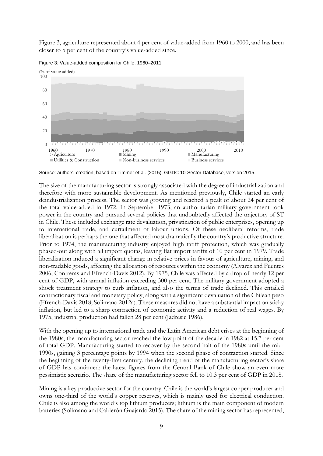Figure 3, agriculture represented about 4 per cent of value-added from 1960 to 2000, and has been closer to 5 per cent of the country's value-added since.



Figure 3: Value-added composition for Chile, 1960–2011

Source: authors' creation, based on Timmer et al. (2015), GGDC 10-Sector Database, version 2015.

The size of the manufacturing sector is strongly associated with the degree of industrialization and therefore with more sustainable development. As mentioned previously, Chile started an early deindustrialization process. The sector was growing and reached a peak of about 24 per cent of the total value-added in 1972. In September 1973, an authoritarian military government took power in the country and pursued several policies that undoubtedly affected the trajectory of ST in Chile. These included exchange rate devaluation, privatization of public enterprises, opening up to international trade, and curtailment of labour unions. Of these neoliberal reforms, trade liberalization is perhaps the one that affected most dramatically the country's productive structure. Prior to 1974, the manufacturing industry enjoyed high tariff protection, which was gradually phased-out along with all import quotas, leaving flat import tariffs of 10 per cent in 1979. Trade liberalization induced a significant change in relative prices in favour of agriculture, mining, and non-tradable goods, affecting the allocation of resources within the economy (Alvarez and Fuentes 2006; Contreras and Ffrench-Davis 2012). By 1975, Chile was affected by a drop of nearly 12 per cent of GDP, with annual inflation exceeding 300 per cent. The military government adopted a shock treatment strategy to curb inflation, and also the terms of trade declined. This entailed contractionary fiscal and monetary policy, along with a significant devaluation of the Chilean peso (Ffrench-Davis 2018; Solimano 2012a). These measures did not have a substantial impact on sticky inflation, but led to a sharp contraction of economic activity and a reduction of real wages. By 1975, industrial production had fallen 28 per cent (Jadresic 1986).

With the opening up to international trade and the Latin American debt crises at the beginning of the 1980s, the manufacturing sector reached the low point of the decade in 1982 at 15.7 per cent of total GDP. Manufacturing started to recover by the second half of the 1980s until the mid-1990s, gaining 3 percentage points by 1994 when the second phase of contraction started. Since the beginning of the twenty-first century, the declining trend of the manufacturing sector's share of GDP has continued; the latest figures from the Central Bank of Chile show an even more pessimistic scenario. The share of the manufacturing sector fell to 10.3 per cent of GDP in 2018.

Mining is a key productive sector for the country. Chile is the world's largest copper producer and owns one-third of the world's copper reserves, which is mainly used for electrical conduction. Chile is also among the world's top lithium producers; lithium is the main component of modern batteries (Solimano and Calderón Guajardo 2015). The share of the mining sector has represented,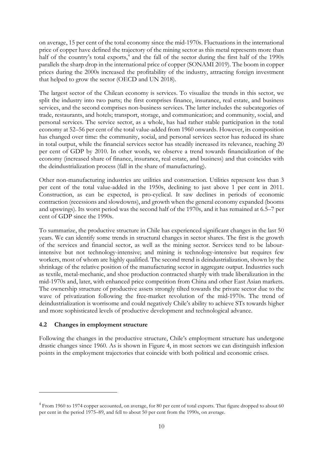on average, 15 per cent of the total economy since the mid-1970s. Fluctuations in the international price of copper have defined the trajectory of the mining sector as this metal represents more than half of the country's total exports,<sup>[4](#page-9-0)</sup> and the fall of the sector during the first half of the 1990s parallels the sharp drop in the international price of copper (SONAMI 2019). The boom in copper prices during the 2000s increased the profitability of the industry, attracting foreign investment that helped to grow the sector (OECD and UN 2018).

The largest sector of the Chilean economy is services. To visualize the trends in this sector, we split the industry into two parts; the first comprises finance, insurance, real estate, and business services, and the second comprises non-business services. The latter includes the subcategories of trade, restaurants, and hotels; transport, storage, and communication; and community, social, and personal services. The service sector, as a whole, has had rather stable participation in the total economy at 52–56 per cent of the total value-added from 1960 onwards. However, its composition has changed over time: the community, social, and personal services sector has reduced its share in total output, while the financial services sector has steadily increased its relevance, reaching 20 per cent of GDP by 2010. In other words, we observe a trend towards financialization of the economy (increased share of finance, insurance, real estate, and business) and that coincides with the deindustrialization process (fall in the share of manufacturing).

Other non-manufacturing industries are utilities and construction. Utilities represent less than 3 per cent of the total value-added in the 1950s, declining to just above 1 per cent in 2011. Construction, as can be expected, is pro-cyclical. It saw declines in periods of economic contraction (recessions and slowdowns), and growth when the general economy expanded (booms and upswings). Its worst period was the second half of the 1970s, and it has remained at 6.5–7 per cent of GDP since the 1990s.

To summarize, the productive structure in Chile has experienced significant changes in the last 50 years. We can identify some trends in structural changes in sector shares. The first is the growth of the services and financial sector, as well as the mining sector. Services tend to be labourintensive but not technology-intensive; and mining is technology-intensive but requires few workers, most of whom are highly qualified. The second trend is deindustrialization, shown by the shrinkage of the relative position of the manufacturing sector in aggregate output. Industries such as textile, metal-mechanic, and shoe production contracted sharply with trade liberalization in the mid-1970s and, later, with enhanced price competition from China and other East Asian markets. The ownership structure of productive assets strongly tilted towards the private sector due to the wave of privatization following the free-market revolution of the mid-1970s. The trend of deindustrialization is worrisome and could negatively Chile's ability to achieve STs towards higher and more sophisticated levels of productive development and technological advance.

### **4.2 Changes in employment structure**

Following the changes in the productive structure, Chile's employment structure has undergone drastic changes since 1960. As is shown in Figure 4, in most sectors we can distinguish inflexion points in the employment trajectories that coincide with both political and economic crises.

<span id="page-9-0"></span><sup>4</sup> From 1960 to 1974 copper accounted, on average, for 80 per cent of total exports. That figure dropped to about 60 per cent in the period 1975–89, and fell to about 50 per cent from the 1990s, on average.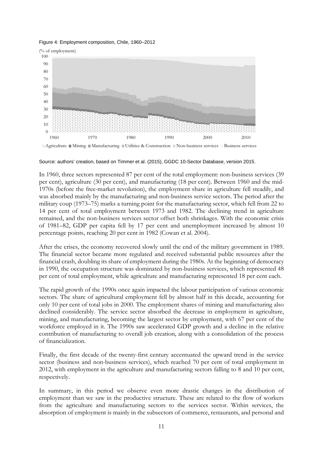Figure 4: Employment composition, Chile, 1960–2012



Source: authors' creation, based on Timmer et al. (2015), GGDC 10-Sector Database, version 2015.

In 1960, three sectors represented 87 per cent of the total employment: non-business services (39 per cent), agriculture (30 per cent), and manufacturing (18 per cent). Between 1960 and the mid-1970s (before the free-market revolution), the employment share in agriculture fell steadily, and was absorbed mainly by the manufacturing and non-business service sectors. The period after the military coup (1973–75) marks a turning point for the manufacturing sector, which fell from 22 to 14 per cent of total employment between 1973 and 1982. The declining trend in agriculture remained, and the non-business services sector offset both shrinkages. With the economic crisis of 1981–82, GDP per capita fell by 17 per cent and unemployment increased by almost 10 percentage points, reaching 20 per cent in 1982 (Cowan et al. 2004).

After the crises, the economy recovered slowly until the end of the military government in 1989. The financial sector became more regulated and received substantial public resources after the financial crash, doubling its share of employment during the 1980s. At the beginning of democracy in 1990, the occupation structure was dominated by non-business services, which represented 48 per cent of total employment, while agriculture and manufacturing represented 18 per cent each.

The rapid growth of the 1990s once again impacted the labour participation of various economic sectors. The share of agricultural employment fell by almost half in this decade, accounting for only 10 per cent of total jobs in 2000. The employment shares of mining and manufacturing also declined considerably. The service sector absorbed the decrease in employment in agriculture, mining, and manufacturing, becoming the largest sector by employment, with 67 per cent of the workforce employed in it. The 1990s saw accelerated GDP growth and a decline in the relative contribution of manufacturing to overall job creation, along with a consolidation of the process of financialization.

Finally, the first decade of the twenty-first century accentuated the upward trend in the service sector (business and non-business services), which reached 70 per cent of total employment in 2012, with employment in the agriculture and manufacturing sectors falling to 8 and 10 per cent, respectively.

In summary, in this period we observe even more drastic changes in the distribution of employment than we saw in the productive structure. These are related to the flow of workers from the agriculture and manufacturing sectors to the services sector. Within services, the absorption of employment is mainly in the subsectors of commerce, restaurants, and personal and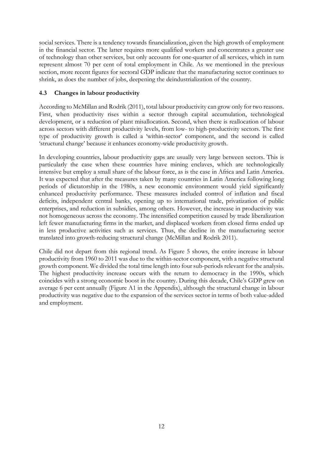social services. There is a tendency towards financialization, given the high growth of employment in the financial sector. The latter requires more qualified workers and concentrates a greater use of technology than other services, but only accounts for one-quarter of all services, which in turn represent almost 70 per cent of total employment in Chile. As we mentioned in the previous section, more recent figures for sectoral GDP indicate that the manufacturing sector continues to shrink, as does the number of jobs, deepening the deindustrialization of the country.

#### **4.3 Changes in labour productivity**

According to McMillan and Rodrik (2011), total labour productivity can grow only for two reasons. First, when productivity rises within a sector through capital accumulation, technological development, or a reduction of plant misallocation. Second, when there is reallocation of labour across sectors with different productivity levels, from low- to high-productivity sectors. The first type of productivity growth is called a 'within-sector' component, and the second is called 'structural change' because it enhances economy-wide productivity growth.

In developing countries, labour productivity gaps are usually very large between sectors. This is particularly the case when these countries have mining enclaves, which are technologically intensive but employ a small share of the labour force, as is the case in Africa and Latin America. It was expected that after the measures taken by many countries in Latin America following long periods of dictatorship in the 1980s, a new economic environment would yield significantly enhanced productivity performance. These measures included control of inflation and fiscal deficits, independent central banks, opening up to international trade, privatization of public enterprises, and reduction in subsidies, among others. However, the increase in productivity was not homogeneous across the economy. The intensified competition caused by trade liberalization left fewer manufacturing firms in the market, and displaced workers from closed firms ended up in less productive activities such as services. Thus, the decline in the manufacturing sector translated into growth-reducing structural change (McMillan and Rodrik 2011).

Chile did not depart from this regional trend. As Figure 5 shows, the entire increase in labour productivity from 1960 to 2011 was due to the within-sector component, with a negative structural growth component. We divided the total time length into four sub-periods relevant for the analysis. The highest productivity increase occurs with the return to democracy in the 1990s, which coincides with a strong economic boost in the country. During this decade, Chile's GDP grew on average 6 per cent annually (Figure A1 in the Appendix), although the structural change in labour productivity was negative due to the expansion of the services sector in terms of both value-added and employment.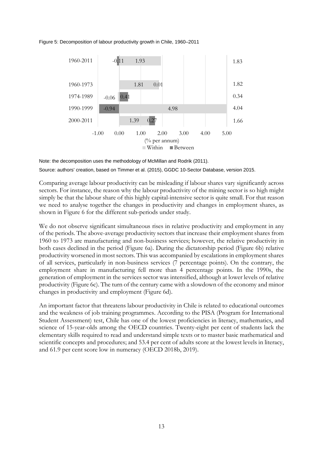Figure 5: Decomposition of labour productivity growth in Chile, 1960–2011



Note: the decomposition uses the methodology of McMillan and Rodrik (2011). Source: authors' creation, based on Timmer et al. (2015), GGDC 10-Sector Database, version 2015.

Comparing average labour productivity can be misleading if labour shares vary significantly across sectors. For instance, the reason why the labour productivity of the mining sector is so high might simply be that the labour share of this highly capital-intensive sector is quite small. For that reason we need to analyse together the changes in productivity and changes in employment shares, as shown in Figure 6 for the different sub-periods under study.

We do not observe significant simultaneous rises in relative productivity and employment in any of the periods. The above-average productivity sectors that increase their employment shares from 1960 to 1973 are manufacturing and non-business services; however, the relative productivity in both cases declined in the period (Figure 6a). During the dictatorship period (Figure 6b) relative productivity worsened in most sectors. This was accompanied by escalations in employment shares of all services, particularly in non-business services (7 percentage points). On the contrary, the employment share in manufacturing fell more than 4 percentage points. In the 1990s, the generation of employment in the services sector was intensified, although at lower levels of relative productivity (Figure 6c). The turn of the century came with a slowdown of the economy and minor changes in productivity and employment (Figure 6d).

An important factor that threatens labour productivity in Chile is related to educational outcomes and the weakness of job training programmes. According to the PISA (Program for International Student Assessment) test, Chile has one of the lowest proficiencies in literacy, mathematics, and science of 15-year-olds among the OECD countries. Twenty-eight per cent of students lack the elementary skills required to read and understand simple texts or to master basic mathematical and scientific concepts and procedures; and 53.4 per cent of adults score at the lowest levels in literacy, and 61.9 per cent score low in numeracy (OECD 2018b, 2019).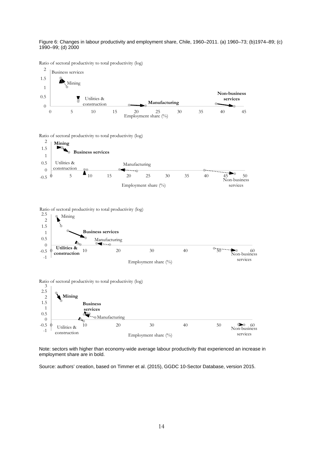Figure 6: Changes in labour productivity and employment share, Chile, 1960–2011. (a) 1960–73; (b)1974–89; (c) 1990–99; (d) 2000

Ratio of sectoral productivity to total productivity (log)



Note: sectors with higher than economy-wide average labour productivity that experienced an increase in employment share are in bold.

Source: authors' creation, based on Timmer et al. (2015), GGDC 10-Sector Database, version 2015.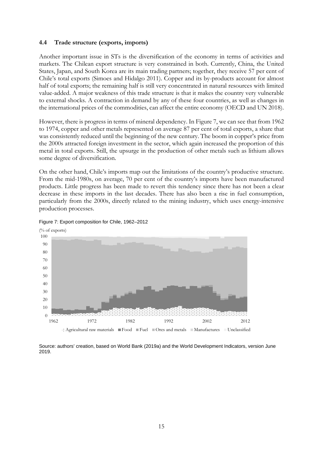#### **4.4 Trade structure (exports, imports)**

Another important issue in STs is the diversification of the economy in terms of activities and markets. The Chilean export structure is very constrained in both. Currently, China, the United States, Japan, and South Korea are its main trading partners; together, they receive 57 per cent of Chile's total exports (Simoes and Hidalgo 2011). Copper and its by-products account for almost half of total exports; the remaining half is still very concentrated in natural resources with limited value-added. A major weakness of this trade structure is that it makes the country very vulnerable to external shocks. A contraction in demand by any of these four countries, as well as changes in the international prices of the commodities, can affect the entire economy (OECD and UN 2018).

However, there is progress in terms of mineral dependency. In Figure 7, we can see that from 1962 to 1974, copper and other metals represented on average 87 per cent of total exports, a share that was consistently reduced until the beginning of the new century. The boom in copper's price from the 2000s attracted foreign investment in the sector, which again increased the proportion of this metal in total exports. Still, the upsurge in the production of other metals such as lithium allows some degree of diversification.

On the other hand, Chile's imports map out the limitations of the country's productive structure. From the mid-1980s, on average, 70 per cent of the country's imports have been manufactured products. Little progress has been made to revert this tendency since there has not been a clear decrease in these imports in the last decades. There has also been a rise in fuel consumption, particularly from the 2000s, directly related to the mining industry, which uses energy-intensive production processes.



#### Figure 7: Export composition for Chile, 1962–2012

Source: authors' creation, based on World Bank (2019a) and the World Development Indicators, version June 2019.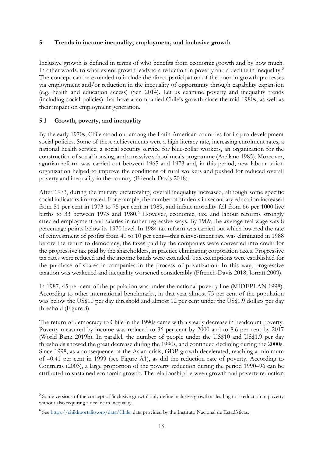#### **5 Trends in income inequality, employment, and inclusive growth**

Inclusive growth is defined in terms of who benefits from economic growth and by how much. In other words, to what extent growth leads to a reduction in poverty and a decline in inequality.<sup>[5](#page-15-0)</sup> The concept can be extended to include the direct participation of the poor in growth processes via employment and/or reduction in the inequality of opportunity through capability expansion (e.g. health and education access) (Sen 2014). Let us examine poverty and inequality trends (including social policies) that have accompanied Chile's growth since the mid-1980s, as well as their impact on employment generation.

#### **5.1 Growth, poverty, and inequality**

By the early 1970s, Chile stood out among the Latin American countries for its pro-development social policies. Some of these achievements were a high literacy rate, increasing enrolment rates, a national health service, a social security service for blue-collar workers, an organization for the construction of social housing, and a massive school meals programme (Arellano 1985). Moreover, agrarian reform was carried out between 1965 and 1973 and, in this period, new labour union organization helped to improve the conditions of rural workers and pushed for reduced overall poverty and inequality in the country (Ffrench-Davis 2018).

After 1973, during the military dictatorship, overall inequality increased, although some specific social indicators improved. For example, the number of students in secondary education increased from 51 per cent in 1973 to 75 per cent in 1989, and infant mortality fell from 66 per 1000 live births to 33 between 1973 and 1980. [6](#page-15-1) However, economic, tax, and labour reforms strongly affected employment and salaries in rather regressive ways. By 1989, the average real wage was 8 percentage points below its 1970 level. In 1984 tax reform was carried out which lowered the rate of reinvestment of profits from 40 to 10 per cent—this reinvestment rate was eliminated in 1988 before the return to democracy; the taxes paid by the companies were converted into credit for the progressive tax paid by the shareholders, in practice eliminating corporation taxes. Progressive tax rates were reduced and the income bands were extended. Tax exemptions were established for the purchase of shares in companies in the process of privatization. In this way, progressive taxation was weakened and inequality worsened considerably (Ffrench-Davis 2018; Jorratt 2009).

In 1987, 45 per cent of the population was under the national poverty line (MIDEPLAN 1998). According to other international benchmarks, in that year almost 75 per cent of the population was below the US\$10 per day threshold and almost 12 per cent under the US\$1.9 dollars per day threshold (Figure 8).

The return of democracy to Chile in the 1990s came with a steady decrease in headcount poverty. Poverty measured by income was reduced to 36 per cent by 2000 and to 8.6 per cent by 2017 (World Bank 2019b). In parallel, the number of people under the US\$10 and US\$1.9 per day thresholds showed the great decrease during the 1990s, and continued declining during the 2000s. Since 1998, as a consequence of the Asian crisis, GDP growth decelerated, reaching a minimum of –0.41 per cent in 1999 (see Figure A1), as did the reduction rate of poverty. According to Contreras (2003), a large proportion of the poverty reduction during the period 1990–96 can be attributed to sustained economic growth. The relationship between growth and poverty reduction

<span id="page-15-0"></span><sup>&</sup>lt;sup>5</sup> Some versions of the concept of 'inclusive growth' only define inclusive growth as leading to a reduction in poverty without also requiring a decline in inequality.

<span id="page-15-1"></span><sup>6</sup> See [https://childmortality.org/data/Chile;](https://childmortality.org/data/Chile) data provided by the Instituto Nacional de Estadísticas.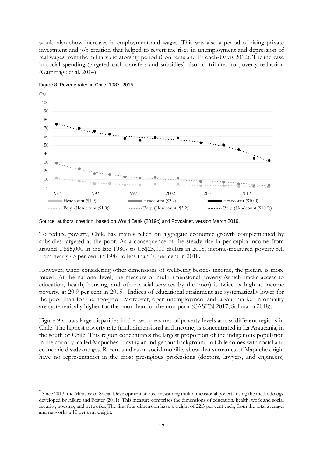would also show increases in employment and wages. This was also a period of rising private investment and job creation that helped to revert the rises in unemployment and depression of real wages from the military dictatorship period (Contreras and Ffrench-Davis 2012). The increase in social spending (targeted cash transfers and subsidies) also contributed to poverty reduction (Gammage et al. 2014).



Figure 8: Poverty rates in Chile, 1987–2015

To reduce poverty, Chile has mainly relied on aggregate economic growth complemented by subsidies targeted at the poor. As a consequence of the steady rise in per capita income from around US\$5,000 in the late 1980s to US\$25,000 dollars in 2018, income-measured poverty fell from nearly 45 per cent in 1989 to less than 10 per cent in 2018.

However, when considering other dimensions of wellbeing besides income, the picture is more mixed. At the national level, the measure of multidimensional poverty (which tracks access to education, health, housing, and other social services by the poor) is twice as high as income poverty, at 20.9 per cent in 2015.<sup>[7](#page-16-0)</sup> Indices of educational attainment are systematically lower for the poor than for the non-poor. Moreover, open unemployment and labour market informality are systematically higher for the poor than for the non-poor (CASEN 2017; Solimano 2018).

Figure 9 shows large disparities in the two measures of poverty levels across different regions in Chile. The highest poverty rate (multidimensional and income) is concentrated in La Araucania, in the south of Chile. This region concentrates the largest proportion of the indigenous population in the country, called Mapuches. Having an indigenous background in Chile comes with social and economic disadvantages. Recent studies on social mobility show that surnames of Mapuche origin have no representation in the most prestigious professions (doctors, lawyers, and engineers)

Source: authors' creation, based on World Bank (2019c) and Povcalnet, version March 2019.

<span id="page-16-0"></span> $7$  Since 2013, the Ministry of Social Development started measuring multidimensional poverty using the methodology developed by Alkire and Foster (2011). This measure comprises the dimensions of education, health, work and social security, housing, and networks. The first four dimension have a weight of 22.5 per cent each, from the total average, and networks a 10 per cent weight.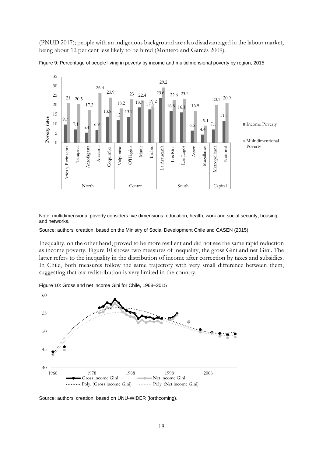(PNUD 2017); people with an indigenous background are also disadvantaged in the labour market, being about 12 per cent less likely to be hired (Montero and Garcés 2009).





Note: multidimensional poverty considers five dimensions: education, health, work and social security, housing, and networks.

Source: authors' creation, based on the Ministry of Social Development Chile and CASEN (2015).

Inequality, on the other hand, proved to be more resilient and did not see the same rapid reduction as income poverty. Figure 10 shows two measures of inequality, the gross Gini and net Gini. The latter refers to the inequality in the distribution of income after correction by taxes and subsidies. In Chile, both measures follow the same trajectory with very small difference between them, suggesting that tax redistribution is very limited in the country.

Figure 10: Gross and net income Gini for Chile, 1968–2015



Source: authors' creation, based on UNU-WIDER (forthcoming).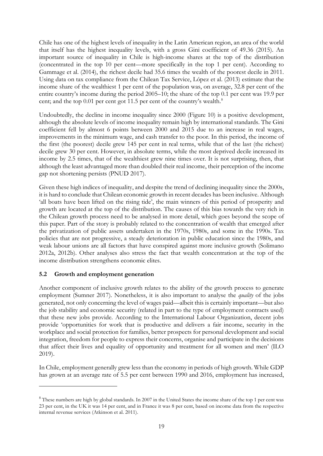Chile has one of the highest levels of inequality in the Latin American region, an area of the world that itself has the highest inequality levels, with a gross Gini coefficient of 49.36 (2015). An important source of inequality in Chile is high-income shares at the top of the distribution (concentrated in the top 10 per cent—more specifically in the top 1 per cent). According to Gammage et al. (2014), the richest decile had 35.6 times the wealth of the poorest decile in 2011. Using data on tax compliance from the Chilean Tax Service, López et al. (2013) estimate that the income share of the wealthiest 1 per cent of the population was, on average, 32.8 per cent of the entire country's income during the period 2005–10; the share of the top 0.1 per cent was 19.9 per cent; and the top 0.01 per cent got 11.5 per cent of the country's wealth.<sup>[8](#page-18-0)</sup>

Undoubtedly, the decline in income inequality since 2000 (Figure 10) is a positive development, although the absolute levels of income inequality remain high by international standards. The Gini coefficient fell by almost 6 points between 2000 and 2015 due to an increase in real wages, improvements in the minimum wage, and cash transfer to the poor. In this period, the income of the first (the poorest) decile grew 145 per cent in real terms, while that of the last (the richest) decile grew 30 per cent. However, in absolute terms, while the most deprived decile increased its income by 2.5 times, that of the wealthiest grew nine times over. It is not surprising, then, that although the least advantaged more than doubled their real income, their perception of the income gap not shortening persists (PNUD 2017).

Given these high indices of inequality, and despite the trend of declining inequality since the 2000s, it is hard to conclude that Chilean economic growth in recent decades has been inclusive. Although 'all boats have been lifted on the rising tide', the main winners of this period of prosperity and growth are located at the top of the distribution. The causes of this bias towards the very rich in the Chilean growth process need to be analysed in more detail, which goes beyond the scope of this paper. Part of the story is probably related to the concentration of wealth that emerged after the privatization of public assets undertaken in the 1970s, 1980s, and some in the 1990s. Tax policies that are not progressive, a steady deterioration in public education since the 1980s, and weak labour unions are all factors that have conspired against more inclusive growth (Solimano 2012a, 2012b). Other analyses also stress the fact that wealth concentration at the top of the income distribution strengthens economic elites.

### **5.2 Growth and employment generation**

Another component of inclusive growth relates to the ability of the growth process to generate employment (Sumner 2017). Nonetheless, it is also important to analyse the *quality* of the jobs generated, not only concerning the level of wages paid—albeit this is certainly important—but also the job stability and economic security (related in part to the type of employment contracts used) that these new jobs provide. According to the International Labour Organization, decent jobs provide 'opportunities for work that is productive and delivers a fair income, security in the workplace and social protection for families, better prospects for personal development and social integration, freedom for people to express their concerns, organise and participate in the decisions that affect their lives and equality of opportunity and treatment for all women and men' (ILO 2019).

In Chile, employment generally grew less than the economy in periods of high growth. While GDP has grown at an average rate of 5.5 per cent between 1990 and 2016, employment has increased,

<span id="page-18-0"></span><sup>&</sup>lt;sup>8</sup> These numbers are high by global standards. In 2007 in the United States the income share of the top 1 per cent was 23 per cent, in the UK it was 14 per cent, and in France it was 8 per cent, based on income data from the respective internal revenue services (Atkinson et al. 2011).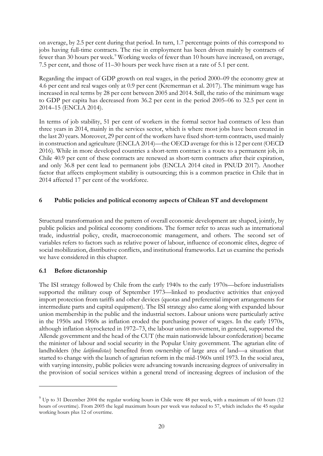on average, by 2.5 per cent during that period. In turn, 1.7 percentage points of this correspond to jobs having full-time contracts. The rise in employment has been driven mainly by contracts of fewer than 30 hours per week.<sup>[9](#page-19-0)</sup> Working weeks of fewer than 10 hours have increased, on average, 7.5 per cent, and those of 11–30 hours per week have risen at a rate of 5.1 per cent.

Regarding the impact of GDP growth on real wages, in the period 2000–09 the economy grew at 4.6 per cent and real wages only at 0.9 per cent (Kremerman et al. 2017). The minimum wage has increased in real terms by 28 per cent between 2005 and 2014. Still, the ratio of the minimum wage to GDP per capita has decreased from 36.2 per cent in the period 2005–06 to 32.5 per cent in 2014–15 (ENCLA 2014).

In terms of job stability, 51 per cent of workers in the formal sector had contracts of less than three years in 2014, mainly in the services sector, which is where most jobs have been created in the last 20 years. Moreover, 29 per cent of the workers have fixed short-term contracts, used mainly in construction and agriculture (ENCLA 2014)—the OECD average for this is 12 per cent (OECD 2016). While in more developed countries a short-term contract is a route to a permanent job, in Chile 40.9 per cent of these contracts are renewed as short-term contracts after their expiration, and only 36.8 per cent lead to permanent jobs (ENCLA 2014 cited in PNUD 2017). Another factor that affects employment stability is outsourcing; this is a common practice in Chile that in 2014 affected 17 per cent of the workforce.

### **6 Public policies and political economy aspects of Chilean ST and development**

Structural transformation and the pattern of overall economic development are shaped, jointly, by public policies and political economy conditions. The former refer to areas such as international trade, industrial policy, credit, macroeconomic management, and others. The second set of variables refers to factors such as relative power of labour, influence of economic elites, degree of social mobilization, distributive conflicts, and institutional frameworks. Let us examine the periods we have considered in this chapter.

### **6.1 Before dictatorship**

The ISI strategy followed by Chile from the early 1940s to the early 1970s—before industrialists supported the military coup of September 1973—linked to productive activities that enjoyed import protection from tariffs and other devices (quotas and preferential import arrangements for intermediate parts and capital equipment). The ISI strategy also came along with expanded labour union membership in the public and the industrial sectors. Labour unions were particularly active in the 1950s and 1960s as inflation eroded the purchasing power of wages. In the early 1970s, although inflation skyrocketed in 1972–73, the labour union movement, in general, supported the Allende government and the head of the CUT (the main nationwide labour confederation) became the minister of labour and social security in the Popular Unity government. The agrarian elite of landholders (the *latifundistas*) benefited from ownership of large area of land—a situation that started to change with the launch of agrarian reform in the mid-1960s until 1973. In the social area, with varying intensity, public policies were advancing towards increasing degrees of universality in the provision of social services within a general trend of increasing degrees of inclusion of the

<span id="page-19-0"></span> $9$  Up to 31 December 2004 the regular working hours in Chile were 48 per week, with a maximum of 60 hours (12 hours of overtime). From 2005 the legal maximum hours per week was reduced to 57, which includes the 45 regular working hours plus 12 of overtime.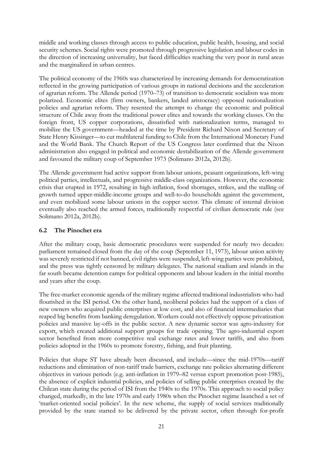middle and working classes through access to public education, public health, housing, and social security schemes. Social rights were promoted through progressive legislation and labour codes in the direction of increasing universality, but faced difficulties reaching the very poor in rural areas and the marginalized in urban centres.

The political economy of the 1960s was characterized by increasing demands for democratization reflected in the growing participation of various groups in national decisions and the acceleration of agrarian reform. The Allende period (1970–73) of transition to democratic socialism was more polarized. Economic elites (firm owners, bankers, landed aristocracy) opposed nationalization policies and agrarian reform. They resented the attempt to change the economic and political structure of Chile away from the traditional power elites and towards the working classes. On the foreign front, US copper corporations, dissatisfied with nationalization terms, managed to mobilize the US government—headed at the time by President Richard Nixon and Secretary of State Henry Kissinger—to cut multilateral funding to Chile from the International Monetary Fund and the World Bank. The Church Report of the US Congress later confirmed that the Nixon administration also engaged in political and economic destabilization of the Allende government and favoured the military coup of September 1973 (Solimano 2012a, 2012b).

The Allende government had active support from labour unions, peasant organizations, left-wing political parties, intellectuals, and progressive middle-class organizations. However, the economic crisis that erupted in 1972, resulting in high inflation, food shortages, strikes, and the stalling of growth turned upper-middle-income groups and well-to-do households against the government, and even mobilized some labour unions in the copper sector. This climate of internal division eventually also reached the armed forces, traditionally respectful of civilian democratic rule (see Solimano 2012a, 2012b).

#### **6.2 The Pinochet era**

After the military coup, basic democratic procedures were suspended for nearly two decades: parliament remained closed from the day of the coup (September 11, 1973), labour union activity was severely restricted if not banned, civil rights were suspended, left-wing parties were prohibited, and the press was tightly censored by military delegates. The national stadium and islands in the far south became detention camps for political opponents and labour leaders in the initial months and years after the coup.

The free-market economic agenda of the military regime affected traditional industrialists who had flourished in the ISI period. On the other hand, neoliberal policies had the support of a class of new owners who acquired public enterprises at low cost, and also of financial intermediaries that reaped big benefits from banking deregulation. Workers could not effectively oppose privatization policies and massive lay-offs in the public sector. A new dynamic sector was agro-industry for export, which created additional support groups for trade opening. The agro-industrial export sector benefited from more competitive real exchange rates and lower tariffs, and also from policies adopted in the 1960s to promote forestry, fishing, and fruit planting.

Policies that shape ST have already been discussed, and include—since the mid-1970s—tariff reductions and elimination of non-tariff trade barriers, exchange rate policies alternating different objectives in various periods (e.g. anti-inflation in 1979–82 versus export promotion post-1985), the absence of explicit industrial policies, and policies of selling public enterprises created by the Chilean state during the period of ISI from the 1940s to the 1970s. This approach to social policy changed, markedly, in the late 1970s and early 1980s when the Pinochet regime launched a set of 'market-oriented social policies'. In the new scheme, the supply of social services traditionally provided by the state started to be delivered by the private sector, often through for-profit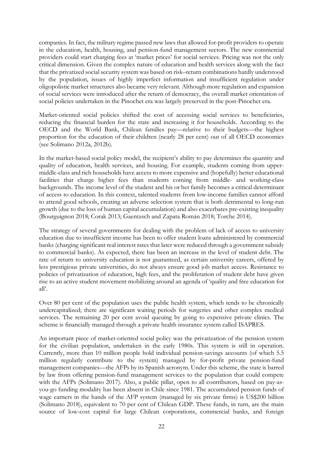companies. In fact, the military regime passed new laws that allowed for-profit providers to operate in the education, health, housing, and pension-fund management sectors. The new commercial providers could start charging fees at 'market prices' for social services. Pricing was not the only critical dimension. Given the complex nature of education and health services along with the fact that the privatized social security system was based on risk–return combinations hardly understood by the population, issues of highly imperfect information and insufficient regulation under oligopolistic market structures also became very relevant. Although more regulation and expansion of social services were introduced after the return of democracy, the overall market orientation of social policies undertaken in the Pinochet era was largely preserved in the post-Pinochet era.

Market-oriented social policies shifted the cost of accessing social services to beneficiaries, reducing the financial burden for the state and increasing it for households. According to the OECD and the World Bank, Chilean families pay—relative to their budgets—the highest proportion for the education of their children (nearly 28 per cent) out of all OECD economies (see Solimano 2012a, 2012b).

In the market-based social policy model, the recipient's ability to pay determines the quantity and quality of education, health services, and housing. For example, students coming from uppermiddle-class and rich households have access to more expensive and (hopefully) better educational facilities that charge higher fees than students coming from middle- and working-class backgrounds. The income level of the student and his or her family becomes a critical determinant of access to education. In this context, talented students from low-income families cannot afford to attend good schools, creating an adverse selection system that is both detrimental to long-run growth (due to the loss of human capital accumulation) and also exacerbates pre-existing inequality (Bourguignon 2018; Corak 2013; Gaentzsch and Zapata Román 2018; Torche 2014).

The strategy of several governments for dealing with the problem of lack of access to university education due to insufficient income has been to offer student loans administered by commercial banks (charging significant real interest rates that later were reduced through a government subsidy to commercial banks). As expected, there has been an increase in the level of student debt. The rate of return to university education is not guaranteed, as certain university careers, offered by less prestigious private universities, do not always ensure good job market access. Resistance to policies of privatization of education, high fees, and the proliferation of student debt have given rise to an active student movement mobilizing around an agenda of 'quality and free education for all'.

Over 80 per cent of the population uses the public health system, which tends to be chronically undercapitalized; there are significant waiting periods for surgeries and other complex medical services. The remaining 20 per cent avoid queuing by going to expensive private clinics. The scheme is financially managed through a private health insurance system called ISAPRES.

An important piece of market-oriented social policy was the privatization of the pension system for the civilian population, undertaken in the early 1980s. This system is still in operation. Currently, more than 10 million people hold individual pension-savings accounts (of which 5.5 million regularly contribute to the system) managed by for-profit private pension-fund management companies—the AFPs by its Spanish acronym. Under this scheme, the state is barred by law from offering pension-fund management services to the population that could compete with the AFPs (Solimano 2017). Also, a public pillar, open to all contributors, based on pay-asyou-go funding modality has been absent in Chile since 1981. The accumulated pension funds of wage earners in the hands of the AFP system (managed by six private firms) is US\$200 billion (Solimano 2018), equivalent to 70 per cent of Chilean GDP. These funds, in turn, are the main source of low-cost capital for large Chilean corporations, commercial banks, and foreign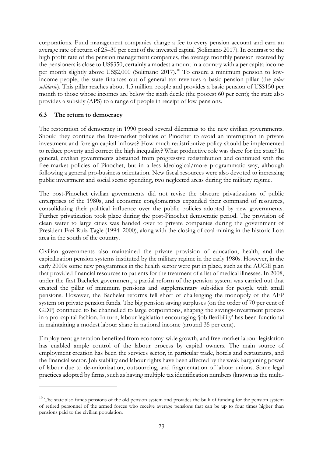corporations. Fund management companies charge a fee to every pension account and earn an average rate of return of 25–30 per cent of the invested capital (Solimano 2017). In contrast to the high profit rate of the pension management companies, the average monthly pension received by the pensioners is close to US\$350, certainly a modest amount in a country with a per capita income per month slightly above US\$2,000 (Solimano 2017).<sup>[10](#page-22-0)</sup> To ensure a minimum pension to lowincome people, the state finances out of general tax revenues a basic pension pillar (the *pilar solidario*). This pillar reaches about 1.5 million people and provides a basic pension of US\$150 per month to those whose incomes are below the sixth decile (the poorest 60 per cent); the state also provides a subsidy (APS) to a range of people in receipt of low pensions.

#### **6.3 The return to democracy**

The restoration of democracy in 1990 posed several dilemmas to the new civilian governments. Should they continue the free-market policies of Pinochet to avoid an interruption in private investment and foreign capital inflows? How much redistributive policy should be implemented to reduce poverty and correct the high inequality? What productive role was there for the state? In general, civilian governments abstained from progressive redistribution and continued with the free-market policies of Pinochet, but in a less ideological/more programmatic way, although following a general pro-business orientation. New fiscal resources were also devoted to increasing public investment and social sector spending, two neglected areas during the military regime.

The post-Pinochet civilian governments did not revise the obscure privatizations of public enterprises of the 1980s, and economic conglomerates expanded their command of resources, consolidating their political influence over the public policies adopted by new governments. Further privatization took place during the post-Pinochet democratic period. The provision of clean water to large cities was handed over to private companies during the government of President Frei Ruiz-Tagle (1994–2000), along with the closing of coal mining in the historic Lota area in the south of the country.

Civilian governments also maintained the private provision of education, health, and the capitalization pension systems instituted by the military regime in the early 1980s. However, in the early 2000s some new programmes in the health sector were put in place, such as the AUGE plan that provided financial resources to patients for the treatment of a list of medical illnesses. In 2008, under the first Bachelet government, a partial reform of the pension system was carried out that created the pillar of minimum pensions and supplementary subsidies for people with small pensions. However, the Bachelet reforms fell short of challenging the monopoly of the AFP system on private pension funds. The big pension saving surpluses (on the order of 70 per cent of GDP) continued to be channelled to large corporations, shaping the savings-investment process in a pro-capital fashion. In turn, labour legislation encouraging 'job flexibility' has been functional in maintaining a modest labour share in national income (around 35 per cent).

Employment generation benefited from economy-wide growth, and free-market labour legislation has enabled ample control of the labour process by capital owners. The main source of employment creation has been the services sector, in particular trade, hotels and restaurants, and the financial sector. Job stability and labour rights have been affected by the weak bargaining power of labour due to de-unionization, outsourcing, and fragmentation of labour unions. Some legal practices adopted by firms, such as having multiple tax identification numbers (known as the multi-

<span id="page-22-0"></span> $10$  The state also funds pensions of the old pension system and provides the bulk of funding for the pension system of retired personnel of the armed forces who receive average pensions that can be up to four times higher than pensions paid to the civilian population.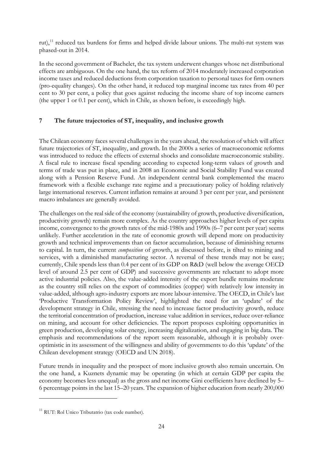rut),<sup>[11](#page-23-0)</sup> reduced tax burdens for firms and helped divide labour unions. The multi-rut system was phased-out in 2014.

In the second government of Bachelet, the tax system underwent changes whose net distributional effects are ambiguous. On the one hand, the tax reform of 2014 moderately increased corporation income taxes and reduced deductions from corporation taxation to personal taxes for firm owners (pro-equality changes). On the other hand, it reduced top marginal income tax rates from 40 per cent to 30 per cent, a policy that goes against reducing the income share of top income earners (the upper 1 or 0.1 per cent), which in Chile, as shown before, is exceedingly high.

## **7 The future trajectories of ST, inequality, and inclusive growth**

The Chilean economy faces several challenges in the years ahead, the resolution of which will affect future trajectories of ST, inequality, and growth. In the 2000s a series of macroeconomic reforms was introduced to reduce the effects of external shocks and consolidate macroeconomic stability. A fiscal rule to increase fiscal spending according to expected long-term values of growth and terms of trade was put in place, and in 2008 an Economic and Social Stability Fund was created along with a Pension Reserve Fund. An independent central bank complemented the macro framework with a flexible exchange rate regime and a precautionary policy of holding relatively large international reserves. Current inflation remains at around 3 per cent per year, and persistent macro imbalances are generally avoided.

The challenges on the real side of the economy (sustainability of growth, productive diversification, productivity growth) remain more complex. As the country approaches higher levels of per capita income, convergence to the growth rates of the mid-1980s and 1990s (6–7 per cent per year) seems unlikely. Further acceleration in the rate of economic growth will depend more on productivity growth and technical improvements than on factor accumulation, because of diminishing returns to capital. In turn, the current *composition* of growth, as discussed before, is tilted to mining and services, with a diminished manufacturing sector. A reversal of these trends may not be easy; currently, Chile spends less than 0.4 per cent of its GDP on R&D (well below the average OECD level of around 2.5 per cent of GDP) and successive governments are reluctant to adopt more active industrial policies. Also, the value-added intensity of the export bundle remains moderate as the country still relies on the export of commodities (copper) with relatively low intensity in value-added, although agro-industry exports are more labour-intensive. The OECD, in Chile's last 'Productive Transformation Policy Review', highlighted the need for an 'update' of the development strategy in Chile, stressing the need to increase factor productivity growth, reduce the territorial concentration of production, increase value addition in services, reduce over-reliance on mining, and account for other deficiencies. The report proposes exploiting opportunities in green production, developing solar energy, increasing digitalization, and engaging in big data. The emphasis and recommendations of the report seem reasonable, although it is probably overoptimistic in its assessment of the willingness and ability of governments to do this 'update' of the Chilean development strategy (OECD and UN 2018).

Future trends in inequality and the prospect of more inclusive growth also remain uncertain. On the one hand, a Kuznets dynamic may be operating (in which at certain GDP per capita the economy becomes less unequal) as the gross and net income Gini coefficients have declined by 5– 6 percentage points in the last 15–20 years. The expansion of higher education from nearly 200,000

<span id="page-23-0"></span><sup>&</sup>lt;sup>11</sup> RUT: Rol Unico Tributatrio (tax code number).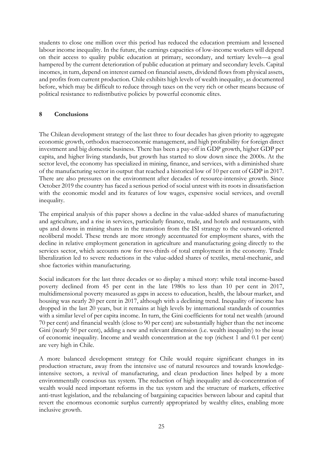students to close one million over this period has reduced the education premium and lessened labour income inequality. In the future, the earnings capacities of low-income workers will depend on their access to quality public education at primary, secondary, and tertiary levels—a goal hampered by the current deterioration of public education at primary and secondary levels. Capital incomes, in turn, depend on interest earned on financial assets, dividend flows from physical assets, and profits from current production. Chile exhibits high levels of wealth inequality, as documented before, which may be difficult to reduce through taxes on the very rich or other means because of political resistance to redistributive policies by powerful economic elites.

#### **8 Conclusions**

The Chilean development strategy of the last three to four decades has given priority to aggregate economic growth, orthodox macroeconomic management, and high profitability for foreign direct investment and big domestic business. There has been a pay-off in GDP growth, higher GDP per capita, and higher living standards, but growth has started to slow down since the 2000s. At the sector level, the economy has specialized in mining, finance, and services, with a diminished share of the manufacturing sector in output that reached a historical low of 10 per cent of GDP in 2017. There are also pressures on the environment after decades of resource-intensive growth. Since October 2019 the country has faced a serious period of social unrest with its roots in dissatisfaction with the economic model and its features of low wages, expensive social services, and overall inequality.

The empirical analysis of this paper shows a decline in the value-added shares of manufacturing and agriculture, and a rise in services, particularly finance, trade, and hotels and restaurants, with ups and downs in mining shares in the transition from the ISI strategy to the outward-oriented neoliberal model. These trends are more strongly accentuated for employment shares, with the decline in relative employment generation in agriculture and manufacturing going directly to the services sector, which accounts now for two-thirds of total employment in the economy. Trade liberalization led to severe reductions in the value-added shares of textiles, metal-mechanic, and shoe factories within manufacturing.

Social indicators for the last three decades or so display a mixed story: while total income-based poverty declined from 45 per cent in the late 1980s to less than 10 per cent in 2017, multidimensional poverty measured as gaps in access to education, health, the labour market, and housing was nearly 20 per cent in 2017, although with a declining trend. Inequality of income has dropped in the last 20 years, but it remains at high levels by international standards of countries with a similar level of per capita income. In turn, the Gini coefficients for total net wealth (around 70 per cent) and financial wealth (close to 90 per cent) are substantially higher than the net income Gini (nearly 50 per cent), adding a new and relevant dimension (i.e. wealth inequality) to the issue of economic inequality. Income and wealth concentration at the top (richest 1 and 0.1 per cent) are very high in Chile.

A more balanced development strategy for Chile would require significant changes in its production structure, away from the intensive use of natural resources and towards knowledgeintensive sectors, a revival of manufacturing, and clean production lines helped by a more environmentally conscious tax system. The reduction of high inequality and de-concentration of wealth would need important reforms in the tax system and the structure of markets, effective anti-trust legislation, and the rebalancing of bargaining capacities between labour and capital that revert the enormous economic surplus currently appropriated by wealthy elites, enabling more inclusive growth.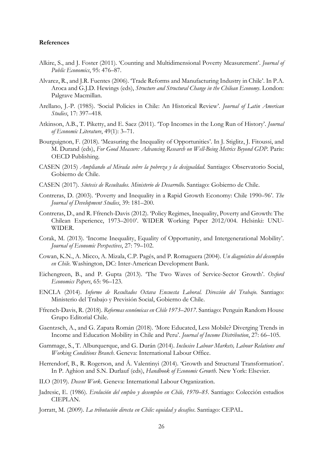#### **References**

- Alkire, S., and J. Foster (2011). 'Counting and Multidimensional Poverty Measurement'. *Journal of Public Economics*, 95: 476–87.
- Alvarez, R., and J.R. Fuentes (2006). 'Trade Reforms and Manufacturing Industry in Chile'. In P.A. Aroca and G.J.D. Hewings (eds), *Structure and Structural Change in the Chilean Economy*. London: Palgrave Macmillan.
- Arellano, J.-P. (1985). 'Social Policies in Chile: An Historical Review'. *Journal of Latin American Studies*, 17: 397–418.
- Atkinson, A.B., T. Piketty, and E. Saez (2011). 'Top Incomes in the Long Run of History'. *Journal of Economic Literature*, 49(1): 3–71.
- Bourguignon, F. (2018). 'Measuring the Inequality of Opportunities'. In J. Stiglitz, J. Fitoussi, and M. Durand (eds), *For Good Measure: Advancing Research on Well-Being Metrics Beyond GDP*. Paris: OECD Publishing.
- CASEN (2015) *Ampliando al Mirada sobre la pobreza y la desigualdad*. Santiago: Observatorio Social, Gobierno de Chile.
- CASEN (2017). *Síntesis de Resultados. Ministerio de Desarrollo*. Santiago: Gobierno de Chile.
- Contreras, D. (2003). 'Poverty and Inequality in a Rapid Growth Economy: Chile 1990–96'. *The Journal of Development Studies*, 39: 181–200.
- Contreras, D., and R. Ffrench-Davis (2012). 'Policy Regimes, Inequality, Poverty and Growth: The Chilean Experience, 1973–2010'. WIDER Working Paper 2012/004. Helsinki: UNU-WIDER.
- Corak, M. (2013). 'Income Inequality, Equality of Opportunity, and Intergenerational Mobility'. *Journal of Economic Perspectives*, 27: 79–102.
- Cowan, K.N., A. Micco, A. Mizala, C.P. Pagés, and P. Romaguera (2004). *Un diagnóstico del desempleo en Chile*. Washington, DC: Inter-American Development Bank.
- Eichengreen, B., and P. Gupta (2013). 'The Two Waves of Service-Sector Growth'. *Oxford Economics Papers*, 65: 96–123.
- ENCLA (2014). *Informe de Resultados Octava Encuesta Laboral. Dirección del Trabajo*. Santiago: Ministerio del Trabajo y Previsión Social, Gobierno de Chile.
- Ffrench-Davis, R. (2018). *Reformas económicas en Chile 1973–2017*. Santiago: Penguin Random House Grupo Editorial Chile.
- Gaentzsch, A., and G. Zapata Román (2018). 'More Educated, Less Mobile? Diverging Trends in Income and Education Mobility in Chile and Peru'. *Journal of Income Distribution*, 27: 66–105.
- Gammage, S., T. Alburquerque, and G. Durán (2014). *Inclusive Labour Markets, Labour Relations and Working Conditions Branch*. Geneva: International Labour Office.
- Herrendorf, B., R. Rogerson, and Á. Valentinyi (2014). 'Growth and Structural Transformation'. In P. Aghion and S.N. Durlauf (eds), *Handbook of Economic Growth*. New York: Elsevier.
- ILO (2019). *Decent Work*. Geneva: International Labour Organization.
- Jadresic, E. (1986). *Evolución del empleo y desempleo en Chile, 1970–85*. Santiago: Colección estudios CIEPLAN.
- Jorratt, M. (2009). *La tributación directa en Chile: equidad y desafíos*. Santiago: CEPAL.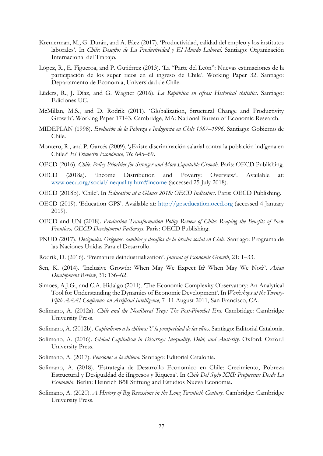- Kremerman, M., G. Durán, and A. Páez (2017). 'Productividad, calidad del empleo y los institutos laborales'. In *Chile: Desafíos de La Productividad y El Mundo Laboral*. Santiago: Organización Internacional del Trabajo.
- López, R., E. Figueroa, and P. Gutiérrez (2013). 'La "Parte del León": Nuevas estimaciones de la participación de los super ricos en el ingreso de Chile'. Working Paper 32. Santiago: Departamento de Economia, Universidad de Chile.
- Lüders, R., J. Díaz, and G. Wagner (2016). *La República en cifras: Historical statistics*. Santiago: Ediciones UC.
- McMillan, M.S., and D. Rodrik (2011). 'Globalization, Structural Change and Productivity Growth'. Working Paper 17143. Cambridge, MA: National Bureau of Economic Research.
- MIDEPLAN (1998). *Evolución de la Pobreza e Indigencia en Chile 1987–1996*. Santiago: Gobierno de Chile.
- Montero, R., and P. Garcés (2009). '¿Existe discriminación salarial contra la población indígena en Chile?' *El Trimestre Económico*, 76: 645–69.
- OECD (2016). *Chile: Policy Priorities for Stronger and More Equitable Growth*. Paris: OECD Publishing.
- OECD (2018a). 'Income Distribution and Poverty: Overview'. Available at: www.oecd.org/social/inequality.htm#income (accessed 25 July 2018).
- OECD (2018b). 'Chile'. In *Education at a Glance 2018: OECD Indicators*. Paris: OECD Publishing.
- OECD (2019). 'Education GPS'. Available at: http://gpseducation.oecd.org (accessed 4 January 2019).
- OECD and UN (2018). *Production Transformation Policy Review of Chile: Reaping the Benefits of New Frontiers, OECD Development Pathways*. Paris: OECD Publishing.
- PNUD (2017). *Desiguales. Orígenes, cambios y desafíos de la brecha social en Chile*. Santiago: Programa de las Naciones Unidas Para el Desarrollo.
- Rodrik, D. (2016). 'Premature deindustrialization'. *Journal of Economic Growth*, 21: 1–33.
- Sen, K. (2014). 'Inclusive Growth: When May We Expect It? When May We Not?'. *Asian Development Review*, 31: 136–62.
- Simoes, A.J.G., and C.A. Hidalgo (2011). 'The Economic Complexity Observatory: An Analytical Tool for Understanding the Dynamics of Economic Development'. In *Workshops at the Twenty-Fifth AAAI Conference on Artificial Intelligence*, 7–11 August 2011, San Francisco, CA.
- Solimano, A. (2012a). *Chile and the Neoliberal Trap: The Post-Pinochet Era*. Cambridge: Cambridge University Press.
- Solimano, A. (2012b). *Capitalismo a la chilena: Y la prosperidad de las elites.* Santiago: Editorial Catalonia.
- Solimano, A. (2016). *Global Capitalism in Disarray: Inequality, Debt, and Austerity*. Oxford: Oxford University Press.
- Solimano, A. (2017). *Pensiones a la chilena*. Santiago: Editorial Catalonia.
- Solimano, A. (2018). 'Estrategia de Desarrollo Economico en Chile: Crecimiento, Pobreza Estructural y Desigualdad de iIngresos y Riqueza'. In *Chile Del Siglo XXI: Propuestas Desde La Economia*. Berlin: Heinrich Böll Stiftung and Estudios Nueva Economia.
- Solimano, A. (2020). *A History of Big Recessions in the Long Twentieth Century*. Cambridge: Cambridge University Press.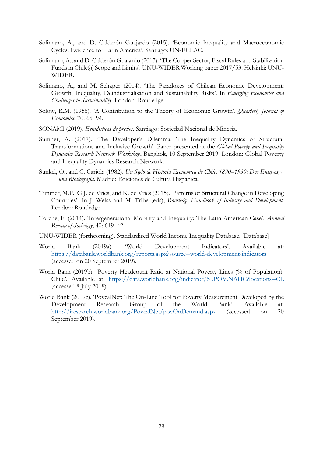- Solimano, A., and D. Calderón Guajardo (2015). 'Economic Inequality and Macroeconomic Cycles: Evidence for Latin America'. Santiago: UN-ECLAC.
- Solimano, A., and D. Calderón Guajardo (2017). 'The Copper Sector, Fiscal Rules and Stabilization Funds in Chile@ Scope and Limits'. UNU-WIDER Working paper 2017/53. Helsinki: UNU-WIDER.
- Solimano, A., and M. Schaper (2014). 'The Paradoxes of Chilean Economic Development: Growth, Inequality, Deindustrialisation and Sustainability Risks'. In *Emerging Economies and Challenges to Sustainability*. London: Routledge.
- Solow, R.M. (1956). 'A Contribution to the Theory of Economic Growth'. *Quarterly Journal of Economics*, 70: 65–94.
- SONAMI (2019). *Estadisticas de precios*. Santiago: Sociedad Nacional de Mineria.
- Sumner, A. (2017). 'The Developer's Dilemma: The Inequality Dynamics of Structural Transformations and Inclusive Growth'. Paper presented at the *Global Poverty and Inequality Dynamics Research Network Workshop*, Bangkok, 10 September 2019. London: Global Poverty and Inequality Dynamics Research Network.
- Sunkel, O., and C. Cariola (1982). *Un Siglo de Historia Economica de Chile, 1830–1930: Dos Ensayos y una Bibliografia*. Madrid: Ediciones de Cultura Hispanica.
- Timmer, M.P., G.J. de Vries, and K. de Vries (2015). 'Patterns of Structural Change in Developing Countries'. In J. Weiss and M. Tribe (eds), *Routledge Handbook of Industry and Development*. London: Routledge
- Torche, F. (2014). 'Intergenerational Mobility and Inequality: The Latin American Case'. *Annual Review of Sociology*, 40: 619–42.
- UNU-WIDER (forthcoming). Standardised World Income Inequality Database. [Database]
- World Bank (2019a). 'World Development Indicators'. Available at: <https://databank.worldbank.org/reports.aspx?source=world-development-indicators> (accessed on 20 September 2019).
- World Bank (2019b). 'Poverty Headcount Ratio at National Poverty Lines (% of Population): Chile'. Available at: https://data.worldbank.org/indicator/SI.POV.NAHC?locations=CL (accessed 8 July 2018).
- World Bank (2019c). 'PovcalNet: The On-Line Tool for Poverty Measurement Developed by the Development Research Group of the World Bank'. Available at: <http://iresearch.worldbank.org/PovcalNet/povOnDemand.aspx> (accessed on 20 September 2019).